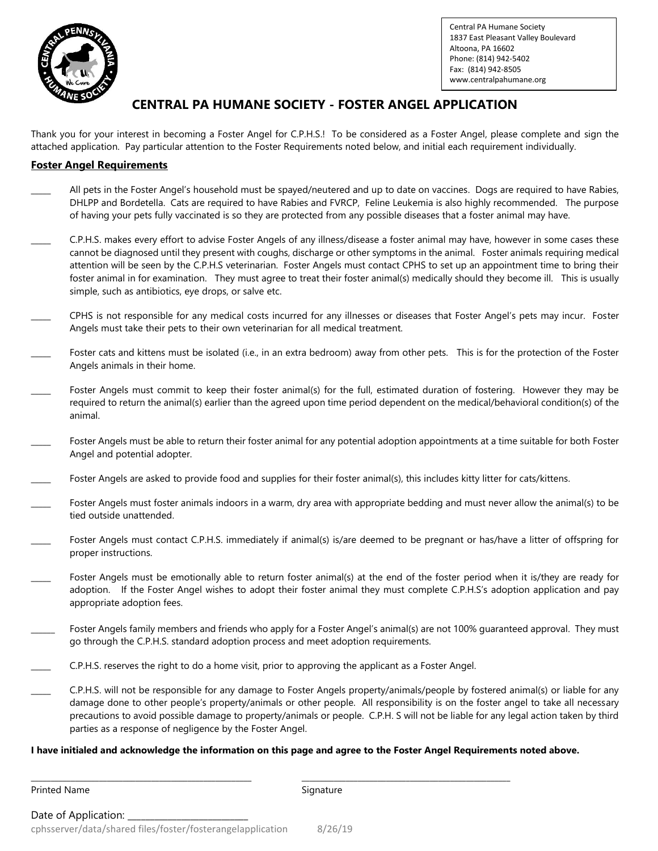

Central PA Humane Society 1837 East Pleasant Valley Boulevard Altoona, PA 16602 Phone: (814) 942-5402 Fax: (814) 942-8505 www.centralpahumane.org

## **CENTRAL PA HUMANE SOCIETY - FOSTER ANGEL APPLICATION**

Thank you for your interest in becoming a Foster Angel for C.P.H.S.! To be considered as a Foster Angel, please complete and sign the attached application. Pay particular attention to the Foster Requirements noted below, and initial each requirement individually.

### **Foster Angel Requirements**

- All pets in the Foster Angel's household must be spayed/neutered and up to date on vaccines. Dogs are required to have Rabies, DHLPP and Bordetella. Cats are required to have Rabies and FVRCP, Feline Leukemia is also highly recommended. The purpose of having your pets fully vaccinated is so they are protected from any possible diseases that a foster animal may have.
- \_\_\_\_\_ C.P.H.S. makes every effort to advise Foster Angels of any illness/disease a foster animal may have, however in some cases these cannot be diagnosed until they present with coughs, discharge or other symptoms in the animal. Foster animals requiring medical attention will be seen by the C.P.H.S veterinarian. Foster Angels must contact CPHS to set up an appointment time to bring their foster animal in for examination. They must agree to treat their foster animal(s) medically should they become ill. This is usually simple, such as antibiotics, eye drops, or salve etc.
- \_\_\_\_\_ CPHS is not responsible for any medical costs incurred for any illnesses or diseases that Foster Angel's pets may incur. Foster Angels must take their pets to their own veterinarian for all medical treatment.
- Foster cats and kittens must be isolated (i.e., in an extra bedroom) away from other pets. This is for the protection of the Foster Angels animals in their home.
- Foster Angels must commit to keep their foster animal(s) for the full, estimated duration of fostering. However they may be required to return the animal(s) earlier than the agreed upon time period dependent on the medical/behavioral condition(s) of the animal.
- Foster Angels must be able to return their foster animal for any potential adoption appointments at a time suitable for both Foster Angel and potential adopter.
- Foster Angels are asked to provide food and supplies for their foster animal(s), this includes kitty litter for cats/kittens.
- Foster Angels must foster animals indoors in a warm, dry area with appropriate bedding and must never allow the animal(s) to be tied outside unattended.
- Foster Angels must contact C.P.H.S. immediately if animal(s) is/are deemed to be pregnant or has/have a litter of offspring for proper instructions.
- Foster Angels must be emotionally able to return foster animal(s) at the end of the foster period when it is/they are ready for adoption. If the Foster Angel wishes to adopt their foster animal they must complete C.P.H.S's adoption application and pay appropriate adoption fees.
- Foster Angels family members and friends who apply for a Foster Angel's animal(s) are not 100% guaranteed approval. They must go through the C.P.H.S. standard adoption process and meet adoption requirements.
- \_\_\_\_\_ C.P.H.S. reserves the right to do a home visit, prior to approving the applicant as a Foster Angel.
- \_\_\_\_\_ C.P.H.S. will not be responsible for any damage to Foster Angels property/animals/people by fostered animal(s) or liable for any damage done to other people's property/animals or other people. All responsibility is on the foster angel to take all necessary precautions to avoid possible damage to property/animals or people. C.P.H. S will not be liable for any legal action taken by third parties as a response of negligence by the Foster Angel.

#### **I have initialed and acknowledge the information on this page and agree to the Foster Angel Requirements noted above.**

\_\_\_\_\_\_\_\_\_\_\_\_\_\_\_\_\_\_\_\_\_\_\_\_\_\_\_\_\_\_\_\_\_\_\_\_\_\_\_\_\_\_\_\_\_\_\_\_\_\_\_\_\_\_\_ \_\_\_\_\_\_\_\_\_\_\_\_\_\_\_\_\_\_\_\_\_\_\_\_\_\_\_\_\_\_\_\_\_\_\_\_\_\_\_\_\_\_\_\_\_\_\_\_\_\_\_\_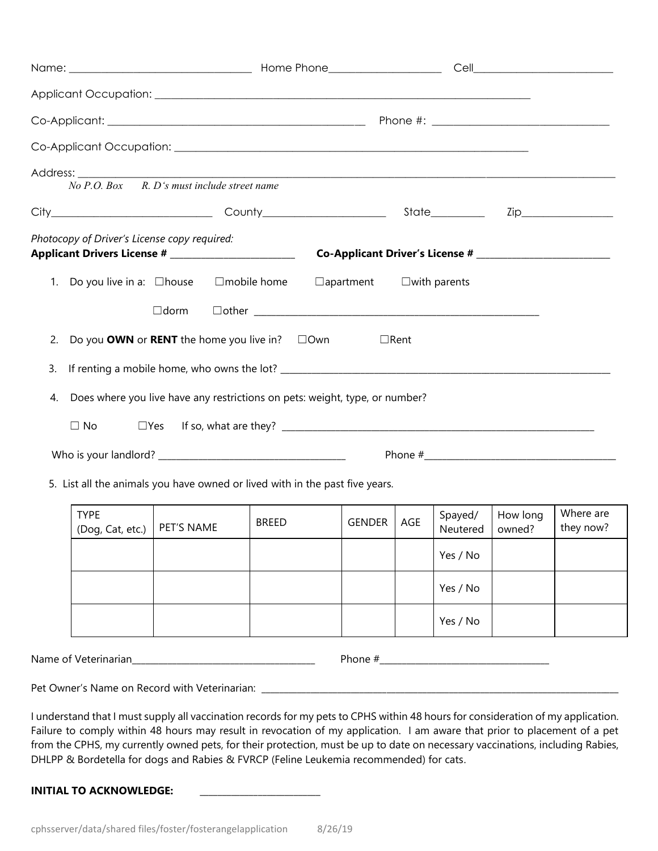|                                                                                   |              |                  | Cell __________________________ |                        |                    |                        |
|-----------------------------------------------------------------------------------|--------------|------------------|---------------------------------|------------------------|--------------------|------------------------|
|                                                                                   |              |                  |                                 |                        |                    |                        |
|                                                                                   |              |                  |                                 |                        |                    |                        |
|                                                                                   |              |                  |                                 |                        |                    |                        |
| R. D's must include street name<br>$No\ P.O.$ $Box$                               |              |                  |                                 |                        |                    |                        |
|                                                                                   |              |                  |                                 |                        |                    |                        |
| Photocopy of Driver's License copy required:                                      |              |                  |                                 |                        |                    |                        |
| Do you live in a: $\Box$ house $\Box$ mobile home<br>1.                           |              | $\Box$ apartment |                                 | $\square$ with parents |                    |                        |
| $\Box$ dorm                                                                       |              |                  |                                 |                        |                    |                        |
| Do you <b>OWN</b> or <b>RENT</b> the home you live in? $\Box$ Own<br>2.           |              | $\Box$ Rent      |                                 |                        |                    |                        |
| 3.                                                                                |              |                  |                                 |                        |                    |                        |
| Does where you live have any restrictions on pets: weight, type, or number?<br>4. |              |                  |                                 |                        |                    |                        |
| $\Box$ No<br>$\square$ Yes                                                        |              |                  |                                 |                        |                    |                        |
|                                                                                   |              |                  |                                 |                        |                    |                        |
| 5. List all the animals you have owned or lived with in the past five years.      |              |                  |                                 |                        |                    |                        |
| <b>TYPE</b><br>(Dog, Cat, etc.)   PET'S NAME                                      | <b>BREED</b> | <b>GENDER</b>    | AGE                             | Spayed/<br>Neutered    | How long<br>owned? | Where are<br>they now? |
|                                                                                   |              |                  |                                 | Yes / No               |                    |                        |
|                                                                                   |              |                  |                                 | Yes / No               |                    |                        |
|                                                                                   |              |                  |                                 | Yes / No               |                    |                        |
|                                                                                   |              |                  |                                 |                        |                    |                        |
|                                                                                   |              |                  |                                 |                        |                    |                        |

I understand that I must supply all vaccination records for my pets to CPHS within 48 hours for consideration of my application. Failure to comply within 48 hours may result in revocation of my application. I am aware that prior to placement of a pet from the CPHS, my currently owned pets, for their protection, must be up to date on necessary vaccinations, including Rabies, DHLPP & Bordetella for dogs and Rabies & FVRCP (Feline Leukemia recommended) for cats.

**INITIAL TO ACKNOWLEDGE:**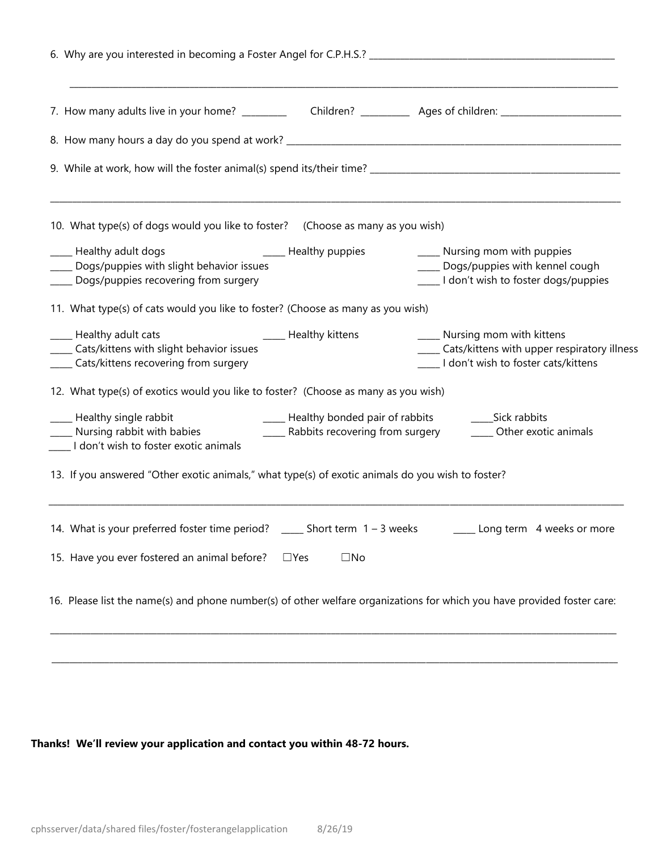| 10. What type(s) of dogs would you like to foster? (Choose as many as you wish)                                        |                                   |                                                                                                                               |
|------------------------------------------------------------------------------------------------------------------------|-----------------------------------|-------------------------------------------------------------------------------------------------------------------------------|
| ____ Healthy adult dogs<br>_____ Dogs/puppies with slight behavior issues<br>____ Dogs/puppies recovering from surgery | _____ Healthy puppies             | ____ Nursing mom with puppies<br>____ Dogs/puppies with kennel cough<br>____ I don't wish to foster dogs/puppies              |
| 11. What type(s) of cats would you like to foster? (Choose as many as you wish)                                        |                                   |                                                                                                                               |
| ____ Healthy adult cats<br>____ Cats/kittens with slight behavior issues<br>____ Cats/kittens recovering from surgery  | <b>Example 21</b> Healthy kittens | ____ Nursing mom with kittens<br>____ Cats/kittens with upper respiratory illness<br>____ I don't wish to foster cats/kittens |
| 12. What type(s) of exotics would you like to foster? (Choose as many as you wish)                                     |                                   |                                                                                                                               |
| ____ Healthy single rabbit<br>____ Nursing rabbit with babies<br>____ I don't wish to foster exotic animals            |                                   | _____ Rabbits recovering from surgery _______ Other exotic animals                                                            |
| 13. If you answered "Other exotic animals," what type(s) of exotic animals do you wish to foster?                      |                                   |                                                                                                                               |
| 14. What is your preferred foster time period? _____ Short term 1 - 3 weeks                                            |                                   | ____ Long term 4 weeks or more                                                                                                |
| 15. Have you ever fostered an animal before?                                                                           | $\square$ No<br>$\Box$ Yes        |                                                                                                                               |
|                                                                                                                        |                                   | 16. Please list the name(s) and phone number(s) of other welfare organizations for which you have provided foster care:       |

### **Thanks! We'll review your application and contact you within 48-72 hours.**